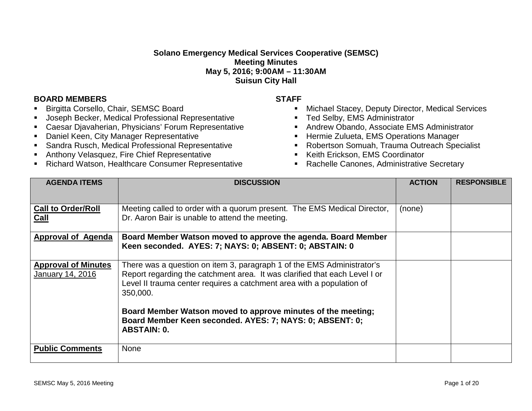## **Solano Emergency Medical Services Cooperative (SEMSC) Meeting Minutes May 5, 2016; 9:00AM – 11:30AM Suisun City Hall**

## **BOARD MEMBERS STAFF**

- Birgitta Corsello, Chair, SEMSC Board
- Joseph Becker, Medical Professional Representative
- Caesar Djavaherian, Physicians' Forum Representative
- **-** Daniel Keen, City Manager Representative
- Sandra Rusch, Medical Professional Representative
- Anthony Velasquez, Fire Chief Representative
- Richard Watson, Healthcare Consumer Representative

- **Michael Stacey, Deputy Director, Medical Services**
- **Ted Selby, EMS Administrator**
- **Andrew Obando, Associate EMS Administrator**
- **Hermie Zulueta, EMS Operations Manager**
- Robertson Somuah, Trauma Outreach Specialist
- **Keith Erickson, EMS Coordinator**
- Rachelle Canones, Administrative Secretary

| <b>AGENDA ITEMS</b>                            | <b>DISCUSSION</b>                                                                                                                                                                                                                         | <b>ACTION</b> | <b>RESPONSIBLE</b> |
|------------------------------------------------|-------------------------------------------------------------------------------------------------------------------------------------------------------------------------------------------------------------------------------------------|---------------|--------------------|
| <b>Call to Order/Roll</b><br>Call              | Meeting called to order with a quorum present. The EMS Medical Director,<br>Dr. Aaron Bair is unable to attend the meeting.                                                                                                               | (none)        |                    |
| <b>Approval of Agenda</b>                      | Board Member Watson moved to approve the agenda. Board Member<br>Keen seconded. AYES: 7; NAYS: 0; ABSENT: 0; ABSTAIN: 0                                                                                                                   |               |                    |
| <b>Approval of Minutes</b><br>January 14, 2016 | There was a question on item 3, paragraph 1 of the EMS Administrator's<br>Report regarding the catchment area. It was clarified that each Level I or<br>Level II trauma center requires a catchment area with a population of<br>350,000. |               |                    |
|                                                | Board Member Watson moved to approve minutes of the meeting;<br>Board Member Keen seconded. AYES: 7; NAYS: 0; ABSENT: 0;<br><b>ABSTAIN: 0.</b>                                                                                            |               |                    |
| <b>Public Comments</b>                         | <b>None</b>                                                                                                                                                                                                                               |               |                    |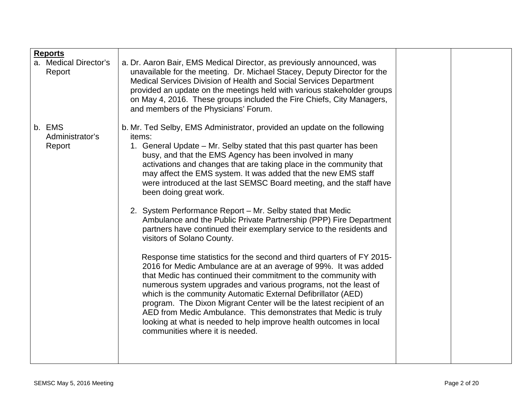| <b>Reports</b><br>a. Medical Director's<br>Report | a. Dr. Aaron Bair, EMS Medical Director, as previously announced, was<br>unavailable for the meeting. Dr. Michael Stacey, Deputy Director for the<br>Medical Services Division of Health and Social Services Department<br>provided an update on the meetings held with various stakeholder groups<br>on May 4, 2016. These groups included the Fire Chiefs, City Managers,<br>and members of the Physicians' Forum.                                                                                                                                                                                                                                                                                                                                                                                                                                                                                                                                                                                                                                                                                                                                                                                                                                                                                              |  |
|---------------------------------------------------|-------------------------------------------------------------------------------------------------------------------------------------------------------------------------------------------------------------------------------------------------------------------------------------------------------------------------------------------------------------------------------------------------------------------------------------------------------------------------------------------------------------------------------------------------------------------------------------------------------------------------------------------------------------------------------------------------------------------------------------------------------------------------------------------------------------------------------------------------------------------------------------------------------------------------------------------------------------------------------------------------------------------------------------------------------------------------------------------------------------------------------------------------------------------------------------------------------------------------------------------------------------------------------------------------------------------|--|
| b. EMS<br>Administrator's<br>Report               | b. Mr. Ted Selby, EMS Administrator, provided an update on the following<br>items:<br>1. General Update – Mr. Selby stated that this past quarter has been<br>busy, and that the EMS Agency has been involved in many<br>activations and changes that are taking place in the community that<br>may affect the EMS system. It was added that the new EMS staff<br>were introduced at the last SEMSC Board meeting, and the staff have<br>been doing great work.<br>2. System Performance Report - Mr. Selby stated that Medic<br>Ambulance and the Public Private Partnership (PPP) Fire Department<br>partners have continued their exemplary service to the residents and<br>visitors of Solano County.<br>Response time statistics for the second and third quarters of FY 2015-<br>2016 for Medic Ambulance are at an average of 99%. It was added<br>that Medic has continued their commitment to the community with<br>numerous system upgrades and various programs, not the least of<br>which is the community Automatic External Defibrillator (AED)<br>program. The Dixon Migrant Center will be the latest recipient of an<br>AED from Medic Ambulance. This demonstrates that Medic is truly<br>looking at what is needed to help improve health outcomes in local<br>communities where it is needed. |  |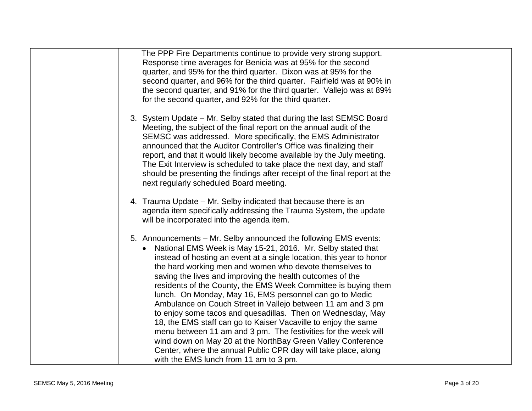| The PPP Fire Departments continue to provide very strong support.<br>Response time averages for Benicia was at 95% for the second<br>quarter, and 95% for the third quarter. Dixon was at 95% for the<br>second quarter, and 96% for the third quarter. Fairfield was at 90% in<br>the second quarter, and 91% for the third quarter. Vallejo was at 89%<br>for the second quarter, and 92% for the third quarter.                                                                                                                                                                                                                                                                                                                                                                                                                                                                                        |
|-----------------------------------------------------------------------------------------------------------------------------------------------------------------------------------------------------------------------------------------------------------------------------------------------------------------------------------------------------------------------------------------------------------------------------------------------------------------------------------------------------------------------------------------------------------------------------------------------------------------------------------------------------------------------------------------------------------------------------------------------------------------------------------------------------------------------------------------------------------------------------------------------------------|
| 3. System Update – Mr. Selby stated that during the last SEMSC Board<br>Meeting, the subject of the final report on the annual audit of the<br>SEMSC was addressed. More specifically, the EMS Administrator<br>announced that the Auditor Controller's Office was finalizing their<br>report, and that it would likely become available by the July meeting.<br>The Exit Interview is scheduled to take place the next day, and staff<br>should be presenting the findings after receipt of the final report at the<br>next regularly scheduled Board meeting.                                                                                                                                                                                                                                                                                                                                           |
| 4. Trauma Update – Mr. Selby indicated that because there is an<br>agenda item specifically addressing the Trauma System, the update<br>will be incorporated into the agenda item.                                                                                                                                                                                                                                                                                                                                                                                                                                                                                                                                                                                                                                                                                                                        |
| 5. Announcements - Mr. Selby announced the following EMS events:<br>National EMS Week is May 15-21, 2016. Mr. Selby stated that<br>instead of hosting an event at a single location, this year to honor<br>the hard working men and women who devote themselves to<br>saving the lives and improving the health outcomes of the<br>residents of the County, the EMS Week Committee is buying them<br>lunch. On Monday, May 16, EMS personnel can go to Medic<br>Ambulance on Couch Street in Vallejo between 11 am and 3 pm<br>to enjoy some tacos and quesadillas. Then on Wednesday, May<br>18, the EMS staff can go to Kaiser Vacaville to enjoy the same<br>menu between 11 am and 3 pm. The festivities for the week will<br>wind down on May 20 at the NorthBay Green Valley Conference<br>Center, where the annual Public CPR day will take place, along<br>with the EMS lunch from 11 am to 3 pm. |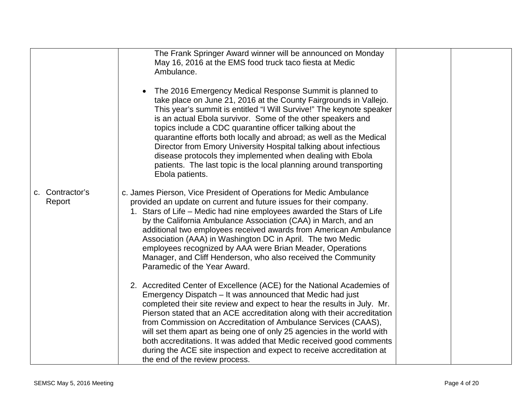|                           | The Frank Springer Award winner will be announced on Monday<br>May 16, 2016 at the EMS food truck taco fiesta at Medic<br>Ambulance.<br>The 2016 Emergency Medical Response Summit is planned to<br>take place on June 21, 2016 at the County Fairgrounds in Vallejo.<br>This year's summit is entitled "I Will Survive!" The keynote speaker<br>is an actual Ebola survivor. Some of the other speakers and<br>topics include a CDC quarantine officer talking about the<br>quarantine efforts both locally and abroad; as well as the Medical<br>Director from Emory University Hospital talking about infectious<br>disease protocols they implemented when dealing with Ebola<br>patients. The last topic is the local planning around transporting<br>Ebola patients. |  |
|---------------------------|----------------------------------------------------------------------------------------------------------------------------------------------------------------------------------------------------------------------------------------------------------------------------------------------------------------------------------------------------------------------------------------------------------------------------------------------------------------------------------------------------------------------------------------------------------------------------------------------------------------------------------------------------------------------------------------------------------------------------------------------------------------------------|--|
| c. Contractor's<br>Report | c. James Pierson, Vice President of Operations for Medic Ambulance<br>provided an update on current and future issues for their company.<br>1. Stars of Life - Medic had nine employees awarded the Stars of Life<br>by the California Ambulance Association (CAA) in March, and an<br>additional two employees received awards from American Ambulance<br>Association (AAA) in Washington DC in April. The two Medic<br>employees recognized by AAA were Brian Meader, Operations<br>Manager, and Cliff Henderson, who also received the Community<br>Paramedic of the Year Award.                                                                                                                                                                                        |  |
|                           | 2. Accredited Center of Excellence (ACE) for the National Academies of<br>Emergency Dispatch - It was announced that Medic had just<br>completed their site review and expect to hear the results in July. Mr.<br>Pierson stated that an ACE accreditation along with their accreditation<br>from Commission on Accreditation of Ambulance Services (CAAS),<br>will set them apart as being one of only 25 agencies in the world with<br>both accreditations. It was added that Medic received good comments<br>during the ACE site inspection and expect to receive accreditation at<br>the end of the review process.                                                                                                                                                    |  |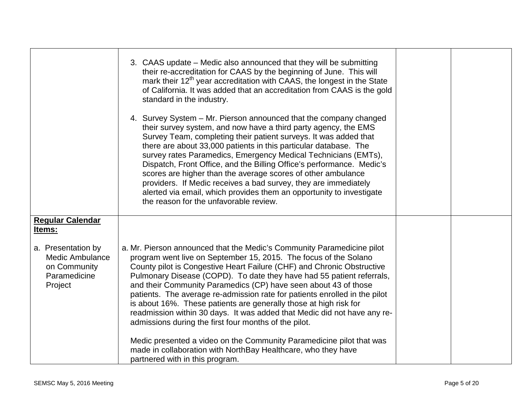|                                                                                                                       | 3. CAAS update – Medic also announced that they will be submitting<br>their re-accreditation for CAAS by the beginning of June. This will<br>mark their 12 <sup>th</sup> year accreditation with CAAS, the longest in the State<br>of California. It was added that an accreditation from CAAS is the gold<br>standard in the industry.<br>4. Survey System - Mr. Pierson announced that the company changed<br>their survey system, and now have a third party agency, the EMS<br>Survey Team, completing their patient surveys. It was added that<br>there are about 33,000 patients in this particular database. The<br>survey rates Paramedics, Emergency Medical Technicians (EMTs),<br>Dispatch, Front Office, and the Billing Office's performance. Medic's<br>scores are higher than the average scores of other ambulance<br>providers. If Medic receives a bad survey, they are immediately<br>alerted via email, which provides them an opportunity to investigate<br>the reason for the unfavorable review. |  |
|-----------------------------------------------------------------------------------------------------------------------|-------------------------------------------------------------------------------------------------------------------------------------------------------------------------------------------------------------------------------------------------------------------------------------------------------------------------------------------------------------------------------------------------------------------------------------------------------------------------------------------------------------------------------------------------------------------------------------------------------------------------------------------------------------------------------------------------------------------------------------------------------------------------------------------------------------------------------------------------------------------------------------------------------------------------------------------------------------------------------------------------------------------------|--|
| <b>Regular Calendar</b><br>Items:<br>a. Presentation by<br>Medic Ambulance<br>on Community<br>Paramedicine<br>Project | a. Mr. Pierson announced that the Medic's Community Paramedicine pilot<br>program went live on September 15, 2015. The focus of the Solano<br>County pilot is Congestive Heart Failure (CHF) and Chronic Obstructive<br>Pulmonary Disease (COPD). To date they have had 55 patient referrals,<br>and their Community Paramedics (CP) have seen about 43 of those<br>patients. The average re-admission rate for patients enrolled in the pilot<br>is about 16%. These patients are generally those at high risk for<br>readmission within 30 days. It was added that Medic did not have any re-<br>admissions during the first four months of the pilot.<br>Medic presented a video on the Community Paramedicine pilot that was<br>made in collaboration with NorthBay Healthcare, who they have<br>partnered with in this program.                                                                                                                                                                                    |  |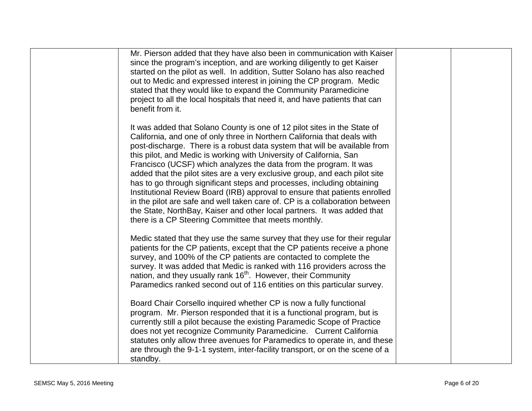| Mr. Pierson added that they have also been in communication with Kaiser<br>since the program's inception, and are working diligently to get Kaiser<br>started on the pilot as well. In addition, Sutter Solano has also reached<br>out to Medic and expressed interest in joining the CP program. Medic<br>stated that they would like to expand the Community Paramedicine<br>project to all the local hospitals that need it, and have patients that can<br>benefit from it.                                                                                                                                                                                                                                                                                                                                                        |  |
|---------------------------------------------------------------------------------------------------------------------------------------------------------------------------------------------------------------------------------------------------------------------------------------------------------------------------------------------------------------------------------------------------------------------------------------------------------------------------------------------------------------------------------------------------------------------------------------------------------------------------------------------------------------------------------------------------------------------------------------------------------------------------------------------------------------------------------------|--|
| It was added that Solano County is one of 12 pilot sites in the State of<br>California, and one of only three in Northern California that deals with<br>post-discharge. There is a robust data system that will be available from<br>this pilot, and Medic is working with University of California, San<br>Francisco (UCSF) which analyzes the data from the program. It was<br>added that the pilot sites are a very exclusive group, and each pilot site<br>has to go through significant steps and processes, including obtaining<br>Institutional Review Board (IRB) approval to ensure that patients enrolled<br>in the pilot are safe and well taken care of. CP is a collaboration between<br>the State, NorthBay, Kaiser and other local partners. It was added that<br>there is a CP Steering Committee that meets monthly. |  |
| Medic stated that they use the same survey that they use for their regular<br>patients for the CP patients, except that the CP patients receive a phone<br>survey, and 100% of the CP patients are contacted to complete the<br>survey. It was added that Medic is ranked with 116 providers across the<br>nation, and they usually rank 16 <sup>th</sup> . However, their Community<br>Paramedics ranked second out of 116 entities on this particular survey.                                                                                                                                                                                                                                                                                                                                                                       |  |
| Board Chair Corsello inquired whether CP is now a fully functional<br>program. Mr. Pierson responded that it is a functional program, but is<br>currently still a pilot because the existing Paramedic Scope of Practice<br>does not yet recognize Community Paramedicine. Current California<br>statutes only allow three avenues for Paramedics to operate in, and these<br>are through the 9-1-1 system, inter-facility transport, or on the scene of a<br>standby.                                                                                                                                                                                                                                                                                                                                                                |  |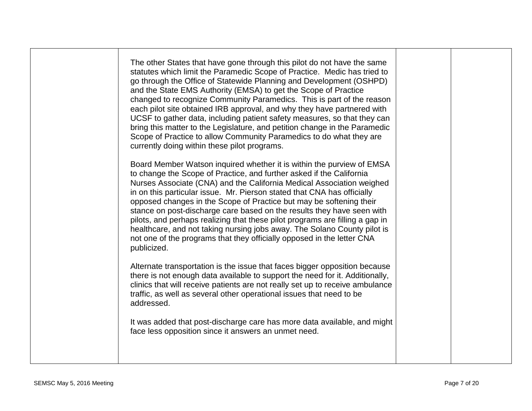| The other States that have gone through this pilot do not have the same<br>statutes which limit the Paramedic Scope of Practice. Medic has tried to<br>go through the Office of Statewide Planning and Development (OSHPD)<br>and the State EMS Authority (EMSA) to get the Scope of Practice<br>changed to recognize Community Paramedics. This is part of the reason<br>each pilot site obtained IRB approval, and why they have partnered with<br>UCSF to gather data, including patient safety measures, so that they can<br>bring this matter to the Legislature, and petition change in the Paramedic<br>Scope of Practice to allow Community Paramedics to do what they are<br>currently doing within these pilot programs. |  |
|------------------------------------------------------------------------------------------------------------------------------------------------------------------------------------------------------------------------------------------------------------------------------------------------------------------------------------------------------------------------------------------------------------------------------------------------------------------------------------------------------------------------------------------------------------------------------------------------------------------------------------------------------------------------------------------------------------------------------------|--|
| Board Member Watson inquired whether it is within the purview of EMSA<br>to change the Scope of Practice, and further asked if the California<br>Nurses Associate (CNA) and the California Medical Association weighed<br>in on this particular issue. Mr. Pierson stated that CNA has officially<br>opposed changes in the Scope of Practice but may be softening their<br>stance on post-discharge care based on the results they have seen with<br>pilots, and perhaps realizing that these pilot programs are filling a gap in<br>healthcare, and not taking nursing jobs away. The Solano County pilot is<br>not one of the programs that they officially opposed in the letter CNA<br>publicized.                            |  |
| Alternate transportation is the issue that faces bigger opposition because<br>there is not enough data available to support the need for it. Additionally,<br>clinics that will receive patients are not really set up to receive ambulance<br>traffic, as well as several other operational issues that need to be<br>addressed.                                                                                                                                                                                                                                                                                                                                                                                                  |  |
| It was added that post-discharge care has more data available, and might<br>face less opposition since it answers an unmet need.                                                                                                                                                                                                                                                                                                                                                                                                                                                                                                                                                                                                   |  |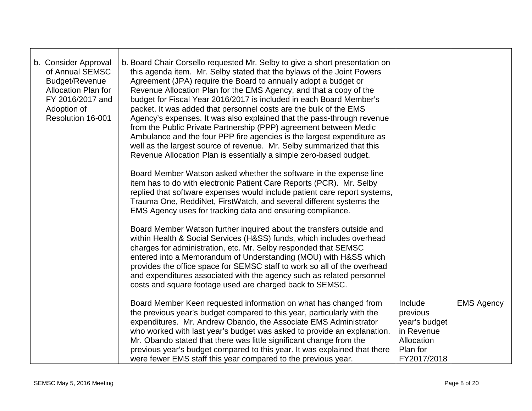| b. Consider Approval<br>of Annual SEMSC<br>Budget/Revenue<br><b>Allocation Plan for</b><br>FY 2016/2017 and<br>Adoption of<br>Resolution 16-001 | b. Board Chair Corsello requested Mr. Selby to give a short presentation on<br>this agenda item. Mr. Selby stated that the bylaws of the Joint Powers<br>Agreement (JPA) require the Board to annually adopt a budget or<br>Revenue Allocation Plan for the EMS Agency, and that a copy of the<br>budget for Fiscal Year 2016/2017 is included in each Board Member's<br>packet. It was added that personnel costs are the bulk of the EMS<br>Agency's expenses. It was also explained that the pass-through revenue<br>from the Public Private Partnership (PPP) agreement between Medic<br>Ambulance and the four PPP fire agencies is the largest expenditure as<br>well as the largest source of revenue. Mr. Selby summarized that this<br>Revenue Allocation Plan is essentially a simple zero-based budget. |                                                                                             |                   |
|-------------------------------------------------------------------------------------------------------------------------------------------------|--------------------------------------------------------------------------------------------------------------------------------------------------------------------------------------------------------------------------------------------------------------------------------------------------------------------------------------------------------------------------------------------------------------------------------------------------------------------------------------------------------------------------------------------------------------------------------------------------------------------------------------------------------------------------------------------------------------------------------------------------------------------------------------------------------------------|---------------------------------------------------------------------------------------------|-------------------|
|                                                                                                                                                 | Board Member Watson asked whether the software in the expense line<br>item has to do with electronic Patient Care Reports (PCR). Mr. Selby<br>replied that software expenses would include patient care report systems,<br>Trauma One, ReddiNet, FirstWatch, and several different systems the<br>EMS Agency uses for tracking data and ensuring compliance.                                                                                                                                                                                                                                                                                                                                                                                                                                                       |                                                                                             |                   |
|                                                                                                                                                 | Board Member Watson further inquired about the transfers outside and<br>within Health & Social Services (H&SS) funds, which includes overhead<br>charges for administration, etc. Mr. Selby responded that SEMSC<br>entered into a Memorandum of Understanding (MOU) with H&SS which<br>provides the office space for SEMSC staff to work so all of the overhead<br>and expenditures associated with the agency such as related personnel<br>costs and square footage used are charged back to SEMSC.                                                                                                                                                                                                                                                                                                              |                                                                                             |                   |
|                                                                                                                                                 | Board Member Keen requested information on what has changed from<br>the previous year's budget compared to this year, particularly with the<br>expenditures. Mr. Andrew Obando, the Associate EMS Administrator<br>who worked with last year's budget was asked to provide an explanation.<br>Mr. Obando stated that there was little significant change from the<br>previous year's budget compared to this year. It was explained that there<br>were fewer EMS staff this year compared to the previous year.                                                                                                                                                                                                                                                                                                    | Include<br>previous<br>year's budget<br>in Revenue<br>Allocation<br>Plan for<br>FY2017/2018 | <b>EMS Agency</b> |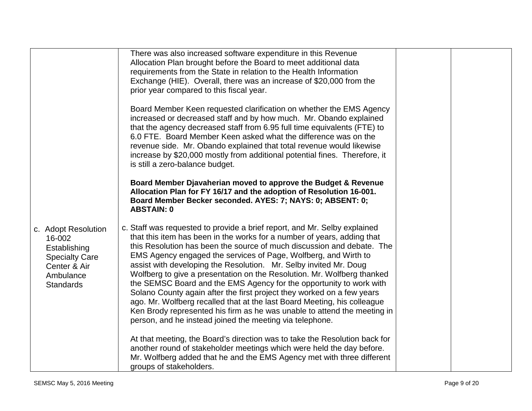|                                                                                                                         | There was also increased software expenditure in this Revenue<br>Allocation Plan brought before the Board to meet additional data<br>requirements from the State in relation to the Health Information<br>Exchange (HIE). Overall, there was an increase of \$20,000 from the<br>prior year compared to this fiscal year.<br>Board Member Keen requested clarification on whether the EMS Agency<br>increased or decreased staff and by how much. Mr. Obando explained<br>that the agency decreased staff from 6.95 full time equivalents (FTE) to<br>6.0 FTE. Board Member Keen asked what the difference was on the<br>revenue side. Mr. Obando explained that total revenue would likewise<br>increase by \$20,000 mostly from additional potential fines. Therefore, it<br>is still a zero-balance budget.         |  |
|-------------------------------------------------------------------------------------------------------------------------|------------------------------------------------------------------------------------------------------------------------------------------------------------------------------------------------------------------------------------------------------------------------------------------------------------------------------------------------------------------------------------------------------------------------------------------------------------------------------------------------------------------------------------------------------------------------------------------------------------------------------------------------------------------------------------------------------------------------------------------------------------------------------------------------------------------------|--|
|                                                                                                                         | Board Member Djavaherian moved to approve the Budget & Revenue<br>Allocation Plan for FY 16/17 and the adoption of Resolution 16-001.<br>Board Member Becker seconded. AYES: 7; NAYS: 0; ABSENT: 0;<br><b>ABSTAIN: 0</b>                                                                                                                                                                                                                                                                                                                                                                                                                                                                                                                                                                                               |  |
| c. Adopt Resolution<br>16-002<br>Establishing<br><b>Specialty Care</b><br>Center & Air<br>Ambulance<br><b>Standards</b> | c. Staff was requested to provide a brief report, and Mr. Selby explained<br>that this item has been in the works for a number of years, adding that<br>this Resolution has been the source of much discussion and debate. The<br>EMS Agency engaged the services of Page, Wolfberg, and Wirth to<br>assist with developing the Resolution. Mr. Selby invited Mr. Doug<br>Wolfberg to give a presentation on the Resolution. Mr. Wolfberg thanked<br>the SEMSC Board and the EMS Agency for the opportunity to work with<br>Solano County again after the first project they worked on a few years<br>ago. Mr. Wolfberg recalled that at the last Board Meeting, his colleague<br>Ken Brody represented his firm as he was unable to attend the meeting in<br>person, and he instead joined the meeting via telephone. |  |
|                                                                                                                         | At that meeting, the Board's direction was to take the Resolution back for<br>another round of stakeholder meetings which were held the day before.<br>Mr. Wolfberg added that he and the EMS Agency met with three different<br>groups of stakeholders.                                                                                                                                                                                                                                                                                                                                                                                                                                                                                                                                                               |  |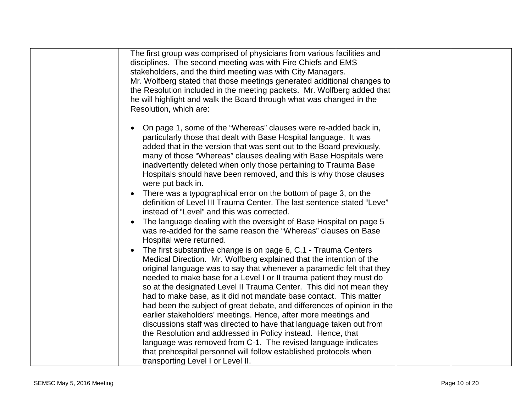| The first group was comprised of physicians from various facilities and<br>disciplines. The second meeting was with Fire Chiefs and EMS<br>stakeholders, and the third meeting was with City Managers.<br>Mr. Wolfberg stated that those meetings generated additional changes to<br>the Resolution included in the meeting packets. Mr. Wolfberg added that<br>he will highlight and walk the Board through what was changed in the<br>Resolution, which are:                                                   |  |
|------------------------------------------------------------------------------------------------------------------------------------------------------------------------------------------------------------------------------------------------------------------------------------------------------------------------------------------------------------------------------------------------------------------------------------------------------------------------------------------------------------------|--|
| On page 1, some of the "Whereas" clauses were re-added back in,<br>particularly those that dealt with Base Hospital language. It was<br>added that in the version that was sent out to the Board previously,<br>many of those "Whereas" clauses dealing with Base Hospitals were<br>inadvertently deleted when only those pertaining to Trauma Base<br>Hospitals should have been removed, and this is why those clauses<br>were put back in.<br>There was a typographical error on the bottom of page 3, on the |  |
| definition of Level III Trauma Center. The last sentence stated "Leve"<br>instead of "Level" and this was corrected.<br>The language dealing with the oversight of Base Hospital on page 5<br>was re-added for the same reason the "Whereas" clauses on Base                                                                                                                                                                                                                                                     |  |
| Hospital were returned.<br>The first substantive change is on page 6, C.1 - Trauma Centers<br>Medical Direction. Mr. Wolfberg explained that the intention of the<br>original language was to say that whenever a paramedic felt that they<br>needed to make base for a Level I or II trauma patient they must do<br>so at the designated Level II Trauma Center. This did not mean they                                                                                                                         |  |
| had to make base, as it did not mandate base contact. This matter<br>had been the subject of great debate, and differences of opinion in the<br>earlier stakeholders' meetings. Hence, after more meetings and<br>discussions staff was directed to have that language taken out from<br>the Resolution and addressed in Policy instead. Hence, that<br>language was removed from C-1. The revised language indicates                                                                                            |  |
| that prehospital personnel will follow established protocols when<br>transporting Level I or Level II.                                                                                                                                                                                                                                                                                                                                                                                                           |  |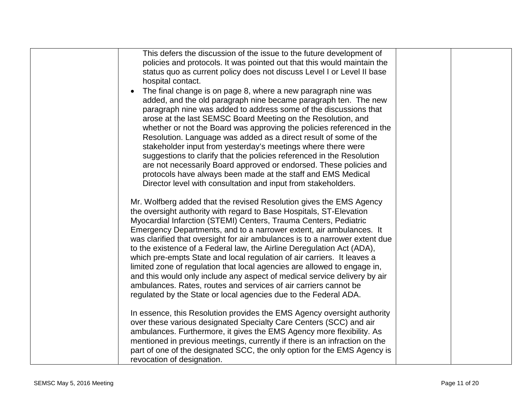| This defers the discussion of the issue to the future development of        |  |
|-----------------------------------------------------------------------------|--|
| policies and protocols. It was pointed out that this would maintain the     |  |
| status quo as current policy does not discuss Level I or Level II base      |  |
| hospital contact.                                                           |  |
| The final change is on page 8, where a new paragraph nine was               |  |
| added, and the old paragraph nine became paragraph ten. The new             |  |
| paragraph nine was added to address some of the discussions that            |  |
| arose at the last SEMSC Board Meeting on the Resolution, and                |  |
| whether or not the Board was approving the policies referenced in the       |  |
| Resolution. Language was added as a direct result of some of the            |  |
| stakeholder input from yesterday's meetings where there were                |  |
| suggestions to clarify that the policies referenced in the Resolution       |  |
| are not necessarily Board approved or endorsed. These policies and          |  |
| protocols have always been made at the staff and EMS Medical                |  |
| Director level with consultation and input from stakeholders.               |  |
|                                                                             |  |
| Mr. Wolfberg added that the revised Resolution gives the EMS Agency         |  |
| the oversight authority with regard to Base Hospitals, ST-Elevation         |  |
| Myocardial Infarction (STEMI) Centers, Trauma Centers, Pediatric            |  |
| Emergency Departments, and to a narrower extent, air ambulances. It         |  |
| was clarified that oversight for air ambulances is to a narrower extent due |  |
| to the existence of a Federal law, the Airline Deregulation Act (ADA),      |  |
| which pre-empts State and local regulation of air carriers. It leaves a     |  |
| limited zone of regulation that local agencies are allowed to engage in,    |  |
| and this would only include any aspect of medical service delivery by air   |  |
| ambulances. Rates, routes and services of air carriers cannot be            |  |
| regulated by the State or local agencies due to the Federal ADA.            |  |
|                                                                             |  |
| In essence, this Resolution provides the EMS Agency oversight authority     |  |
| over these various designated Specialty Care Centers (SCC) and air          |  |
| ambulances. Furthermore, it gives the EMS Agency more flexibility. As       |  |
| mentioned in previous meetings, currently if there is an infraction on the  |  |
| part of one of the designated SCC, the only option for the EMS Agency is    |  |
| revocation of designation.                                                  |  |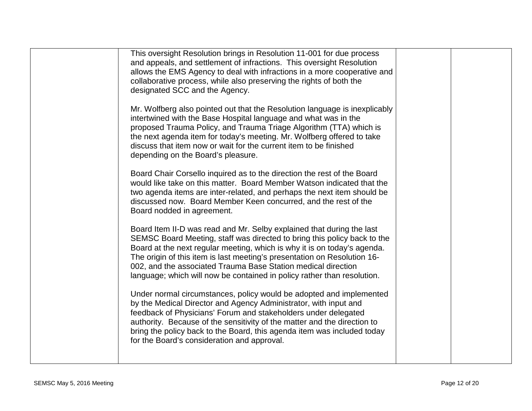| This oversight Resolution brings in Resolution 11-001 for due process<br>and appeals, and settlement of infractions. This oversight Resolution<br>allows the EMS Agency to deal with infractions in a more cooperative and<br>collaborative process, while also preserving the rights of both the<br>designated SCC and the Agency.                                                                                                                   |  |
|-------------------------------------------------------------------------------------------------------------------------------------------------------------------------------------------------------------------------------------------------------------------------------------------------------------------------------------------------------------------------------------------------------------------------------------------------------|--|
| Mr. Wolfberg also pointed out that the Resolution language is inexplicably<br>intertwined with the Base Hospital language and what was in the<br>proposed Trauma Policy, and Trauma Triage Algorithm (TTA) which is<br>the next agenda item for today's meeting. Mr. Wolfberg offered to take<br>discuss that item now or wait for the current item to be finished<br>depending on the Board's pleasure.                                              |  |
| Board Chair Corsello inquired as to the direction the rest of the Board<br>would like take on this matter. Board Member Watson indicated that the<br>two agenda items are inter-related, and perhaps the next item should be<br>discussed now. Board Member Keen concurred, and the rest of the<br>Board nodded in agreement.                                                                                                                         |  |
| Board Item II-D was read and Mr. Selby explained that during the last<br>SEMSC Board Meeting, staff was directed to bring this policy back to the<br>Board at the next regular meeting, which is why it is on today's agenda.<br>The origin of this item is last meeting's presentation on Resolution 16-<br>002, and the associated Trauma Base Station medical direction<br>language; which will now be contained in policy rather than resolution. |  |
| Under normal circumstances, policy would be adopted and implemented<br>by the Medical Director and Agency Administrator, with input and<br>feedback of Physicians' Forum and stakeholders under delegated<br>authority. Because of the sensitivity of the matter and the direction to<br>bring the policy back to the Board, this agenda item was included today<br>for the Board's consideration and approval.                                       |  |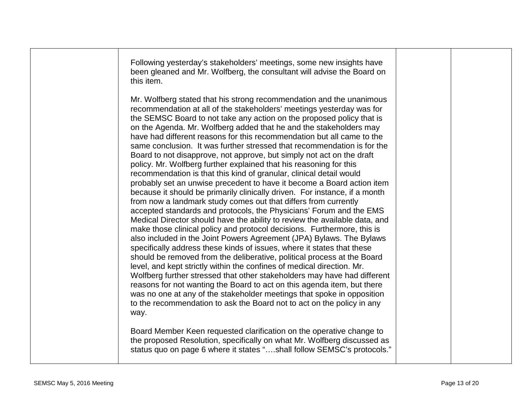| this item.                                                                                                                                                                                                                                                                                                                                                                                                                                                                                                                                                                                                                                                                                                                                                                                                                                                                                                                                                                                                                                                                                                                                                                                                                                                                                                                                                                                                                                                                                                                                                                                                                                                                                                                                                   |  |
|--------------------------------------------------------------------------------------------------------------------------------------------------------------------------------------------------------------------------------------------------------------------------------------------------------------------------------------------------------------------------------------------------------------------------------------------------------------------------------------------------------------------------------------------------------------------------------------------------------------------------------------------------------------------------------------------------------------------------------------------------------------------------------------------------------------------------------------------------------------------------------------------------------------------------------------------------------------------------------------------------------------------------------------------------------------------------------------------------------------------------------------------------------------------------------------------------------------------------------------------------------------------------------------------------------------------------------------------------------------------------------------------------------------------------------------------------------------------------------------------------------------------------------------------------------------------------------------------------------------------------------------------------------------------------------------------------------------------------------------------------------------|--|
| Mr. Wolfberg stated that his strong recommendation and the unanimous<br>recommendation at all of the stakeholders' meetings yesterday was for<br>the SEMSC Board to not take any action on the proposed policy that is<br>on the Agenda. Mr. Wolfberg added that he and the stakeholders may<br>have had different reasons for this recommendation but all came to the<br>same conclusion. It was further stressed that recommendation is for the<br>Board to not disapprove, not approve, but simply not act on the draft<br>policy. Mr. Wolfberg further explained that his reasoning for this<br>recommendation is that this kind of granular, clinical detail would<br>probably set an unwise precedent to have it become a Board action item<br>because it should be primarily clinically driven. For instance, if a month<br>from now a landmark study comes out that differs from currently<br>accepted standards and protocols, the Physicians' Forum and the EMS<br>Medical Director should have the ability to review the available data, and<br>make those clinical policy and protocol decisions. Furthermore, this is<br>also included in the Joint Powers Agreement (JPA) Bylaws. The Bylaws<br>specifically address these kinds of issues, where it states that these<br>should be removed from the deliberative, political process at the Board<br>level, and kept strictly within the confines of medical direction. Mr.<br>Wolfberg further stressed that other stakeholders may have had different<br>reasons for not wanting the Board to act on this agenda item, but there<br>was no one at any of the stakeholder meetings that spoke in opposition<br>to the recommendation to ask the Board not to act on the policy in any<br>way. |  |
| Board Member Keen requested clarification on the operative change to<br>the proposed Resolution, specifically on what Mr. Wolfberg discussed as<br>status quo on page 6 where it states "shall follow SEMSC's protocols."                                                                                                                                                                                                                                                                                                                                                                                                                                                                                                                                                                                                                                                                                                                                                                                                                                                                                                                                                                                                                                                                                                                                                                                                                                                                                                                                                                                                                                                                                                                                    |  |

Following yesterday's stakeholders' meetings, some new insights have been gleaned and Mr. Wolfberg, the consultant will advise the Board on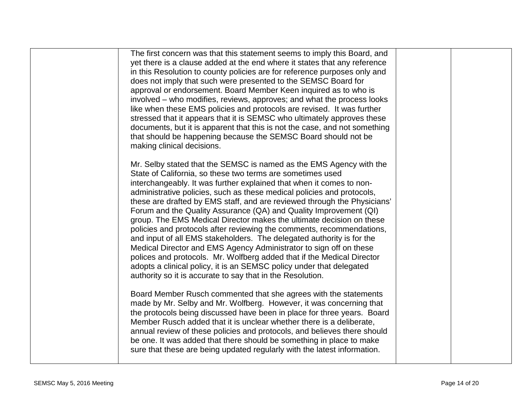| The first concern was that this statement seems to imply this Board, and<br>yet there is a clause added at the end where it states that any reference<br>in this Resolution to county policies are for reference purposes only and<br>does not imply that such were presented to the SEMSC Board for<br>approval or endorsement. Board Member Keen inquired as to who is<br>involved – who modifies, reviews, approves; and what the process looks<br>like when these EMS policies and protocols are revised. It was further<br>stressed that it appears that it is SEMSC who ultimately approves these<br>documents, but it is apparent that this is not the case, and not something<br>that should be happening because the SEMSC Board should not be<br>making clinical decisions.                                                                                                                                                                |  |
|------------------------------------------------------------------------------------------------------------------------------------------------------------------------------------------------------------------------------------------------------------------------------------------------------------------------------------------------------------------------------------------------------------------------------------------------------------------------------------------------------------------------------------------------------------------------------------------------------------------------------------------------------------------------------------------------------------------------------------------------------------------------------------------------------------------------------------------------------------------------------------------------------------------------------------------------------|--|
| Mr. Selby stated that the SEMSC is named as the EMS Agency with the<br>State of California, so these two terms are sometimes used<br>interchangeably. It was further explained that when it comes to non-<br>administrative policies, such as these medical policies and protocols,<br>these are drafted by EMS staff, and are reviewed through the Physicians'<br>Forum and the Quality Assurance (QA) and Quality Improvement (QI)<br>group. The EMS Medical Director makes the ultimate decision on these<br>policies and protocols after reviewing the comments, recommendations,<br>and input of all EMS stakeholders. The delegated authority is for the<br>Medical Director and EMS Agency Administrator to sign off on these<br>polices and protocols. Mr. Wolfberg added that if the Medical Director<br>adopts a clinical policy, it is an SEMSC policy under that delegated<br>authority so it is accurate to say that in the Resolution. |  |
| Board Member Rusch commented that she agrees with the statements<br>made by Mr. Selby and Mr. Wolfberg. However, it was concerning that<br>the protocols being discussed have been in place for three years. Board<br>Member Rusch added that it is unclear whether there is a deliberate,<br>annual review of these policies and protocols, and believes there should<br>be one. It was added that there should be something in place to make<br>sure that these are being updated regularly with the latest information.                                                                                                                                                                                                                                                                                                                                                                                                                           |  |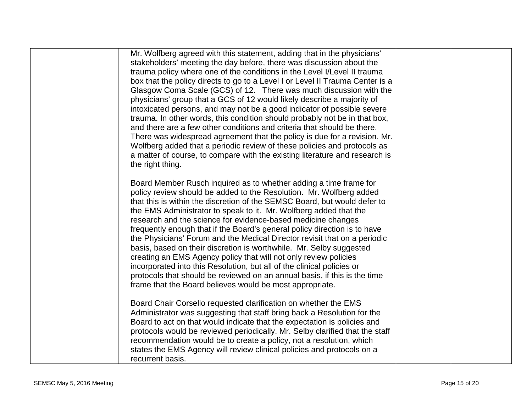| Mr. Wolfberg agreed with this statement, adding that in the physicians'<br>stakeholders' meeting the day before, there was discussion about the<br>trauma policy where one of the conditions in the Level I/Level II trauma<br>box that the policy directs to go to a Level I or Level II Trauma Center is a<br>Glasgow Coma Scale (GCS) of 12. There was much discussion with the<br>physicians' group that a GCS of 12 would likely describe a majority of<br>intoxicated persons, and may not be a good indicator of possible severe<br>trauma. In other words, this condition should probably not be in that box,<br>and there are a few other conditions and criteria that should be there.<br>There was widespread agreement that the policy is due for a revision. Mr.<br>Wolfberg added that a periodic review of these policies and protocols as<br>a matter of course, to compare with the existing literature and research is<br>the right thing. |  |
|--------------------------------------------------------------------------------------------------------------------------------------------------------------------------------------------------------------------------------------------------------------------------------------------------------------------------------------------------------------------------------------------------------------------------------------------------------------------------------------------------------------------------------------------------------------------------------------------------------------------------------------------------------------------------------------------------------------------------------------------------------------------------------------------------------------------------------------------------------------------------------------------------------------------------------------------------------------|--|
| Board Member Rusch inquired as to whether adding a time frame for<br>policy review should be added to the Resolution. Mr. Wolfberg added<br>that this is within the discretion of the SEMSC Board, but would defer to<br>the EMS Administrator to speak to it. Mr. Wolfberg added that the<br>research and the science for evidence-based medicine changes<br>frequently enough that if the Board's general policy direction is to have<br>the Physicians' Forum and the Medical Director revisit that on a periodic<br>basis, based on their discretion is worthwhile. Mr. Selby suggested<br>creating an EMS Agency policy that will not only review policies<br>incorporated into this Resolution, but all of the clinical policies or<br>protocols that should be reviewed on an annual basis, if this is the time<br>frame that the Board believes would be most appropriate.                                                                           |  |
| Board Chair Corsello requested clarification on whether the EMS<br>Administrator was suggesting that staff bring back a Resolution for the<br>Board to act on that would indicate that the expectation is policies and<br>protocols would be reviewed periodically. Mr. Selby clarified that the staff<br>recommendation would be to create a policy, not a resolution, which<br>states the EMS Agency will review clinical policies and protocols on a<br>recurrent basis.                                                                                                                                                                                                                                                                                                                                                                                                                                                                                  |  |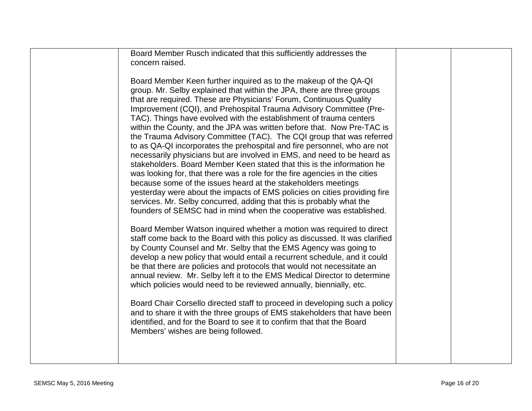| Board Member Rusch indicated that this sufficiently addresses the<br>concern raised.                                                                                                                                                                                                                                                                                                                                                                                                                                                                                                                                                                                                                                                            |  |
|-------------------------------------------------------------------------------------------------------------------------------------------------------------------------------------------------------------------------------------------------------------------------------------------------------------------------------------------------------------------------------------------------------------------------------------------------------------------------------------------------------------------------------------------------------------------------------------------------------------------------------------------------------------------------------------------------------------------------------------------------|--|
| Board Member Keen further inquired as to the makeup of the QA-QI<br>group. Mr. Selby explained that within the JPA, there are three groups<br>that are required. These are Physicians' Forum, Continuous Quality<br>Improvement (CQI), and Prehospital Trauma Advisory Committee (Pre-<br>TAC). Things have evolved with the establishment of trauma centers<br>within the County, and the JPA was written before that. Now Pre-TAC is<br>the Trauma Advisory Committee (TAC). The CQI group that was referred<br>to as QA-QI incorporates the prehospital and fire personnel, who are not<br>necessarily physicians but are involved in EMS, and need to be heard as<br>stakeholders. Board Member Keen stated that this is the information he |  |
| was looking for, that there was a role for the fire agencies in the cities<br>because some of the issues heard at the stakeholders meetings<br>yesterday were about the impacts of EMS policies on cities providing fire<br>services. Mr. Selby concurred, adding that this is probably what the<br>founders of SEMSC had in mind when the cooperative was established.                                                                                                                                                                                                                                                                                                                                                                         |  |
| Board Member Watson inquired whether a motion was required to direct<br>staff come back to the Board with this policy as discussed. It was clarified<br>by County Counsel and Mr. Selby that the EMS Agency was going to<br>develop a new policy that would entail a recurrent schedule, and it could<br>be that there are policies and protocols that would not necessitate an<br>annual review. Mr. Selby left it to the EMS Medical Director to determine<br>which policies would need to be reviewed annually, biennially, etc.                                                                                                                                                                                                             |  |
| Board Chair Corsello directed staff to proceed in developing such a policy<br>and to share it with the three groups of EMS stakeholders that have been<br>identified, and for the Board to see it to confirm that that the Board<br>Members' wishes are being followed.                                                                                                                                                                                                                                                                                                                                                                                                                                                                         |  |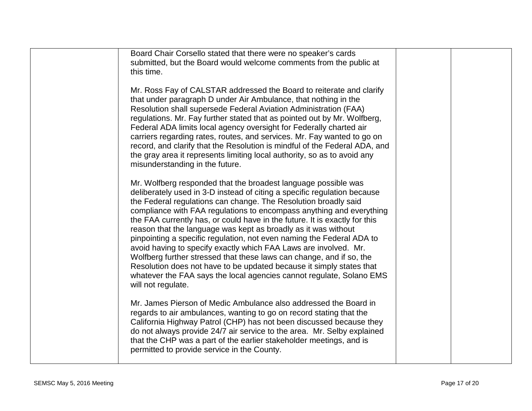| Board Chair Corsello stated that there were no speaker's cards                                                                                        |  |
|-------------------------------------------------------------------------------------------------------------------------------------------------------|--|
| submitted, but the Board would welcome comments from the public at                                                                                    |  |
| this time.                                                                                                                                            |  |
|                                                                                                                                                       |  |
| Mr. Ross Fay of CALSTAR addressed the Board to reiterate and clarify                                                                                  |  |
| that under paragraph D under Air Ambulance, that nothing in the                                                                                       |  |
| Resolution shall supersede Federal Aviation Administration (FAA)                                                                                      |  |
| regulations. Mr. Fay further stated that as pointed out by Mr. Wolfberg,                                                                              |  |
| Federal ADA limits local agency oversight for Federally charted air                                                                                   |  |
| carriers regarding rates, routes, and services. Mr. Fay wanted to go on<br>record, and clarify that the Resolution is mindful of the Federal ADA, and |  |
| the gray area it represents limiting local authority, so as to avoid any                                                                              |  |
| misunderstanding in the future.                                                                                                                       |  |
|                                                                                                                                                       |  |
| Mr. Wolfberg responded that the broadest language possible was                                                                                        |  |
| deliberately used in 3-D instead of citing a specific regulation because                                                                              |  |
| the Federal regulations can change. The Resolution broadly said                                                                                       |  |
| compliance with FAA regulations to encompass anything and everything                                                                                  |  |
| the FAA currently has, or could have in the future. It is exactly for this                                                                            |  |
| reason that the language was kept as broadly as it was without                                                                                        |  |
| pinpointing a specific regulation, not even naming the Federal ADA to                                                                                 |  |
| avoid having to specify exactly which FAA Laws are involved. Mr.<br>Wolfberg further stressed that these laws can change, and if so, the              |  |
| Resolution does not have to be updated because it simply states that                                                                                  |  |
| whatever the FAA says the local agencies cannot regulate, Solano EMS                                                                                  |  |
| will not regulate.                                                                                                                                    |  |
|                                                                                                                                                       |  |
| Mr. James Pierson of Medic Ambulance also addressed the Board in                                                                                      |  |
| regards to air ambulances, wanting to go on record stating that the                                                                                   |  |
| California Highway Patrol (CHP) has not been discussed because they                                                                                   |  |
| do not always provide 24/7 air service to the area. Mr. Selby explained                                                                               |  |
| that the CHP was a part of the earlier stakeholder meetings, and is                                                                                   |  |
| permitted to provide service in the County.                                                                                                           |  |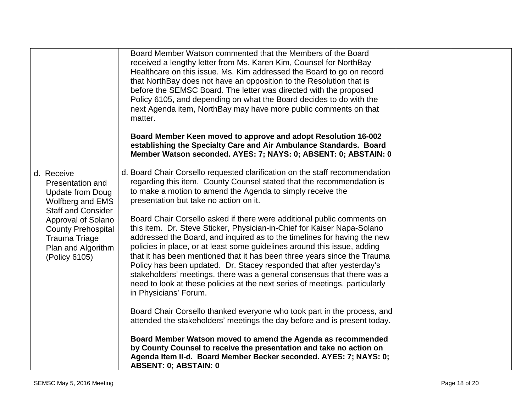|                                                                                                                | Board Member Watson commented that the Members of the Board<br>received a lengthy letter from Ms. Karen Kim, Counsel for NorthBay<br>Healthcare on this issue. Ms. Kim addressed the Board to go on record<br>that NorthBay does not have an opposition to the Resolution that is<br>before the SEMSC Board. The letter was directed with the proposed<br>Policy 6105, and depending on what the Board decides to do with the<br>next Agenda item, NorthBay may have more public comments on that<br>matter.                                                                                                                                    |  |
|----------------------------------------------------------------------------------------------------------------|-------------------------------------------------------------------------------------------------------------------------------------------------------------------------------------------------------------------------------------------------------------------------------------------------------------------------------------------------------------------------------------------------------------------------------------------------------------------------------------------------------------------------------------------------------------------------------------------------------------------------------------------------|--|
|                                                                                                                | Board Member Keen moved to approve and adopt Resolution 16-002<br>establishing the Specialty Care and Air Ambulance Standards. Board<br>Member Watson seconded. AYES: 7; NAYS: 0; ABSENT: 0; ABSTAIN: 0                                                                                                                                                                                                                                                                                                                                                                                                                                         |  |
| d. Receive<br>Presentation and<br><b>Update from Doug</b><br>Wolfberg and EMS<br><b>Staff and Consider</b>     | d. Board Chair Corsello requested clarification on the staff recommendation<br>regarding this item. County Counsel stated that the recommendation is<br>to make a motion to amend the Agenda to simply receive the<br>presentation but take no action on it.                                                                                                                                                                                                                                                                                                                                                                                    |  |
| Approval of Solano<br><b>County Prehospital</b><br><b>Trauma Triage</b><br>Plan and Algorithm<br>(Policy 6105) | Board Chair Corsello asked if there were additional public comments on<br>this item. Dr. Steve Sticker, Physician-in-Chief for Kaiser Napa-Solano<br>addressed the Board, and inquired as to the timelines for having the new<br>policies in place, or at least some guidelines around this issue, adding<br>that it has been mentioned that it has been three years since the Trauma<br>Policy has been updated. Dr. Stacey responded that after yesterday's<br>stakeholders' meetings, there was a general consensus that there was a<br>need to look at these policies at the next series of meetings, particularly<br>in Physicians' Forum. |  |
|                                                                                                                | Board Chair Corsello thanked everyone who took part in the process, and<br>attended the stakeholders' meetings the day before and is present today.                                                                                                                                                                                                                                                                                                                                                                                                                                                                                             |  |
|                                                                                                                | Board Member Watson moved to amend the Agenda as recommended<br>by County Counsel to receive the presentation and take no action on<br>Agenda Item II-d. Board Member Becker seconded. AYES: 7; NAYS: 0;<br><b>ABSENT: 0; ABSTAIN: 0</b>                                                                                                                                                                                                                                                                                                                                                                                                        |  |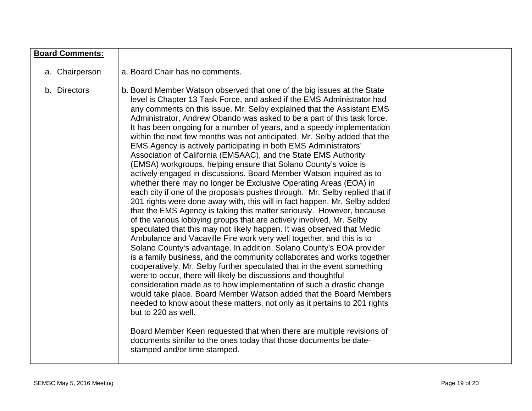| <b>Board Comments:</b> |                                                                                                                                                                                                                                                                                                                                                                                                                                                                                                                                                                                                                                                                                                                                                                                                                                                                                                                                                                                                                                                                                                                                                                                                                                                                                                                                                                                                                                                                                                                                                                                                                                                                                                                                                                                                                                                                                                                                                                                                                   |  |
|------------------------|-------------------------------------------------------------------------------------------------------------------------------------------------------------------------------------------------------------------------------------------------------------------------------------------------------------------------------------------------------------------------------------------------------------------------------------------------------------------------------------------------------------------------------------------------------------------------------------------------------------------------------------------------------------------------------------------------------------------------------------------------------------------------------------------------------------------------------------------------------------------------------------------------------------------------------------------------------------------------------------------------------------------------------------------------------------------------------------------------------------------------------------------------------------------------------------------------------------------------------------------------------------------------------------------------------------------------------------------------------------------------------------------------------------------------------------------------------------------------------------------------------------------------------------------------------------------------------------------------------------------------------------------------------------------------------------------------------------------------------------------------------------------------------------------------------------------------------------------------------------------------------------------------------------------------------------------------------------------------------------------------------------------|--|
| a. Chairperson         | a. Board Chair has no comments.                                                                                                                                                                                                                                                                                                                                                                                                                                                                                                                                                                                                                                                                                                                                                                                                                                                                                                                                                                                                                                                                                                                                                                                                                                                                                                                                                                                                                                                                                                                                                                                                                                                                                                                                                                                                                                                                                                                                                                                   |  |
| b. Directors           | b. Board Member Watson observed that one of the big issues at the State<br>level is Chapter 13 Task Force, and asked if the EMS Administrator had<br>any comments on this issue. Mr. Selby explained that the Assistant EMS<br>Administrator, Andrew Obando was asked to be a part of this task force.<br>It has been ongoing for a number of years, and a speedy implementation<br>within the next few months was not anticipated. Mr. Selby added that the<br>EMS Agency is actively participating in both EMS Administrators'<br>Association of California (EMSAAC), and the State EMS Authority<br>(EMSA) workgroups, helping ensure that Solano County's voice is<br>actively engaged in discussions. Board Member Watson inquired as to<br>whether there may no longer be Exclusive Operating Areas (EOA) in<br>each city if one of the proposals pushes through. Mr. Selby replied that if<br>201 rights were done away with, this will in fact happen. Mr. Selby added<br>that the EMS Agency is taking this matter seriously. However, because<br>of the various lobbying groups that are actively involved, Mr. Selby<br>speculated that this may not likely happen. It was observed that Medic<br>Ambulance and Vacaville Fire work very well together, and this is to<br>Solano County's advantage. In addition, Solano County's EOA provider<br>is a family business, and the community collaborates and works together<br>cooperatively. Mr. Selby further speculated that in the event something<br>were to occur, there will likely be discussions and thoughtful<br>consideration made as to how implementation of such a drastic change<br>would take place. Board Member Watson added that the Board Members<br>needed to know about these matters, not only as it pertains to 201 rights<br>but to 220 as well.<br>Board Member Keen requested that when there are multiple revisions of<br>documents similar to the ones today that those documents be date-<br>stamped and/or time stamped. |  |
|                        |                                                                                                                                                                                                                                                                                                                                                                                                                                                                                                                                                                                                                                                                                                                                                                                                                                                                                                                                                                                                                                                                                                                                                                                                                                                                                                                                                                                                                                                                                                                                                                                                                                                                                                                                                                                                                                                                                                                                                                                                                   |  |